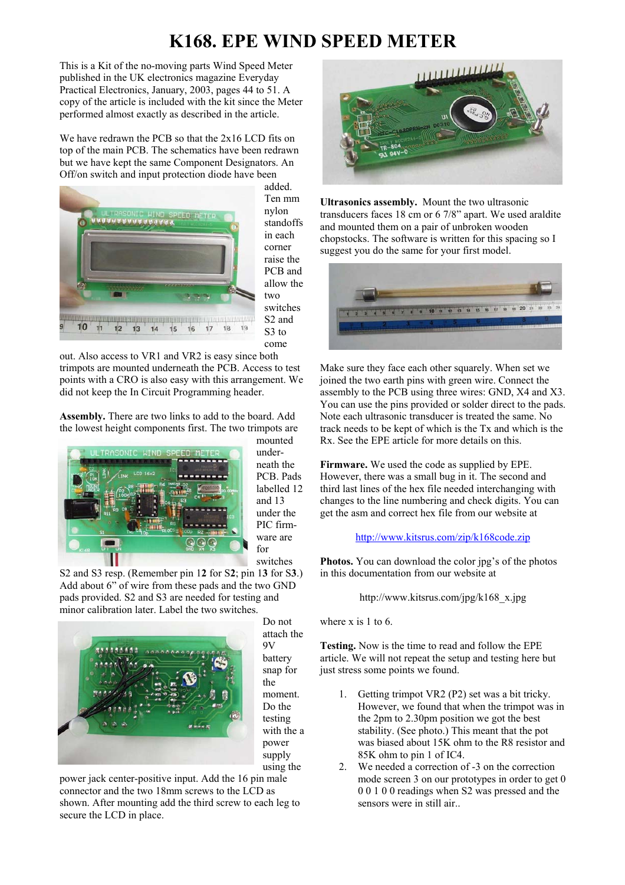## **K168. EPE WIND SPEED METER**

This is a Kit of the no-moving parts Wind Speed Meter published in the UK electronics magazine Everyday Practical Electronics, January, 2003, pages 44 to 51. A copy of the article is included with the kit since the Meter performed almost exactly as described in the article.

We have redrawn the PCB so that the 2x16 LCD fits on top of the main PCB. The schematics have been redrawn but we have kept the same Component Designators. An Off/on switch and input protection diode have been



added. Ten mm nylon standoffs in each corner raise the PCB and allow the two switches S2 and S<sub>3</sub> to come

out. Also access to VR1 and VR2 is easy since both trimpots are mounted underneath the PCB. Access to test points with a CRO is also easy with this arrangement. We did not keep the In Circuit Programming header.

**Assembly.** There are two links to add to the board. Add the lowest height components first. The two trimpots are



mounted underneath the PCB. Pads labelled 12 and 13 under the PIC firmware are for switches

S2 and S3 resp. (Remember pin 1**2** for S**2**; pin 1**3** for S**3**.) Add about 6" of wire from these pads and the two GND pads provided. S2 and S3 are needed for testing and minor calibration later. Label the two switches.



Do not attach the 9V battery snap for the moment. Do the testing with the a power supply using the

power jack center-positive input. Add the 16 pin male connector and the two 18mm screws to the LCD as shown. After mounting add the third screw to each leg to secure the LCD in place.



**Ultrasonics assembly.** Mount the two ultrasonic transducers faces 18 cm or 6 7/8" apart. We used araldite and mounted them on a pair of unbroken wooden chopstocks. The software is written for this spacing so I suggest you do the same for your first model.



Make sure they face each other squarely. When set we joined the two earth pins with green wire. Connect the assembly to the PCB using three wires: GND, X4 and X3. You can use the pins provided or solder direct to the pads. Note each ultrasonic transducer is treated the same. No track needs to be kept of which is the Tx and which is the Rx. See the EPE article for more details on this.

**Firmware.** We used the code as supplied by EPE. However, there was a small bug in it. The second and third last lines of the hex file needed interchanging with changes to the line numbering and check digits. You can get the asm and correct hex file from our website at

### <http://www.kitsrus.com/zip/k168code.zip>

**Photos.** You can download the color jpg's of the photos in this documentation from our website at

#### http://www.kitsrus.com/jpg/k168\_x.jpg

where x is 1 to 6.

**Testing.** Now is the time to read and follow the EPE article. We will not repeat the setup and testing here but just stress some points we found.

- 1. Getting trimpot VR2 (P2) set was a bit tricky. However, we found that when the trimpot was in the 2pm to 2.30pm position we got the best stability. (See photo.) This meant that the pot was biased about 15K ohm to the R8 resistor and 85K ohm to pin 1 of IC4.
- 2. We needed a correction of -3 on the correction mode screen 3 on our prototypes in order to get 0 0 0 1 0 0 readings when S2 was pressed and the sensors were in still air..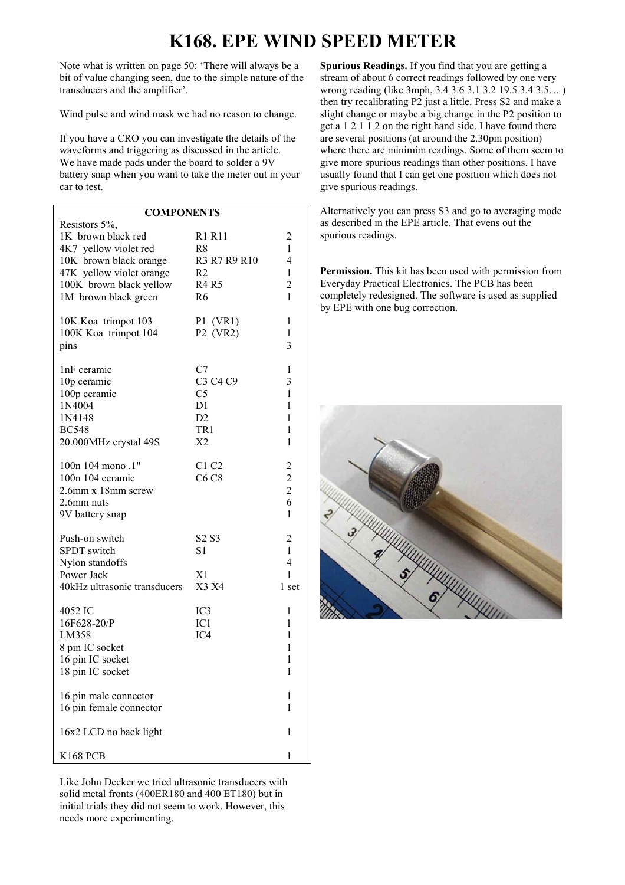# **K168. EPE WIND SPEED METER**

Note what is written on page 50: 'There will always be a bit of value changing seen, due to the simple nature of the transducers and the amplifier'.

Wind pulse and wind mask we had no reason to change.

If you have a CRO you can investigate the details of the waveforms and triggering as discussed in the article. We have made pads under the board to solder a 9V battery snap when you want to take the meter out in your car to test.

| <b>COMPONENTS</b>            |                               |                         |                               |
|------------------------------|-------------------------------|-------------------------|-------------------------------|
| Resistors 5%,                |                               |                         | ć                             |
| 1K brown black red           | R1 R11                        | $\overline{c}$          | Š                             |
| 4K7 yellow violet red        | R <sup>8</sup>                | $\mathbf{1}$            |                               |
| 10K brown black orange       | R3 R7 R9 R10                  | $\overline{4}$          |                               |
| 47K yellow violet orange     | R2                            | $\mathbf{1}$            | 1                             |
| 100K brown black yellow      | <b>R4 R5</b>                  | $\overline{c}$          | $\mathbf{l}$                  |
| 1M brown black green         | R <sub>6</sub>                | $\mathbf{1}$            | $\overline{\phantom{a}}$<br>ł |
| 10K Koa trimpot 103          | $P1$ (VR1)                    | $\mathbf{1}$            |                               |
| 100K Koa trimpot 104         | P2 (VR2)                      | $\mathbf{1}$            |                               |
| pins                         |                               | 3                       |                               |
| 1nF ceramic                  | C7                            | 1                       |                               |
| 10p ceramic                  | C3 C4 C9                      | 3                       |                               |
| 100p ceramic                 | C <sub>5</sub>                | $\mathbf{1}$            |                               |
| 1N4004                       | D1                            | $\mathbf{1}$            |                               |
| 1N4148                       | D2                            | $\mathbf{1}$            |                               |
| <b>BC548</b>                 | TR1                           | $\mathbf{1}$            |                               |
| 20.000MHz crystal 49S        | X <sub>2</sub>                | $\mathbf{1}$            |                               |
| 100n 104 mono .1"            | C1 C2                         |                         |                               |
| 100n 104 ceramic             | C6 C8                         | $\overline{\mathbf{c}}$ |                               |
| 2.6mm x 18mm screw           |                               | $\frac{2}{2}$           |                               |
| 2.6mm nuts                   |                               | 6                       |                               |
| 9V battery snap              |                               | $\mathbf{1}$            |                               |
|                              |                               |                         |                               |
| Push-on switch               | S <sub>2</sub> S <sub>3</sub> | $\overline{c}$          |                               |
| SPDT switch                  | S1                            | $\mathbf{1}$            |                               |
| Nylon standoffs              |                               | $\overline{4}$          |                               |
| Power Jack                   | X1                            | $\mathbf{1}$            |                               |
| 40kHz ultrasonic transducers | X3 X4                         | 1 set                   |                               |
| 4052 IC                      | IC3                           | $\mathbf{1}$            |                               |
| 16F628-20/P                  | IC1                           | 1                       |                               |
| LM358                        | IC4                           | $\mathbf{1}$            |                               |
| 8 pin IC socket              |                               | 1                       |                               |
| 16 pin IC socket             |                               | $\mathbf{1}$            |                               |
| 18 pin IC socket             |                               | $\mathbf{1}$            |                               |
| 16 pin male connector        |                               | 1                       |                               |
| 16 pin female connector      |                               | 1                       |                               |
| 16x2 LCD no back light       |                               | 1                       |                               |
| <b>K168 PCB</b>              |                               | 1                       |                               |

Like John Decker we tried ultrasonic transducers with solid metal fronts (400ER180 and 400 ET180) but in initial trials they did not seem to work. However, this needs more experimenting.

**Spurious Readings.** If you find that you are getting a stream of about 6 correct readings followed by one very wrong reading (like 3mph, 3.4 3.6 3.1 3.2 19.5 3.4 3.5… ) then try recalibrating P2 just a little. Press S2 and make a slight change or maybe a big change in the P2 position to get a 1 2 1 1 2 on the right hand side. I have found there are several positions (at around the 2.30pm position) where there are minimim readings. Some of them seem to give more spurious readings than other positions. I have usually found that I can get one position which does not give spurious readings.

Alternatively you can press S3 and go to averaging mode as described in the EPE article. That evens out the spurious readings.

**Permission.** This kit has been used with permission from Everyday Practical Electronics. The PCB has been completely redesigned. The software is used as supplied by EPE with one bug correction.